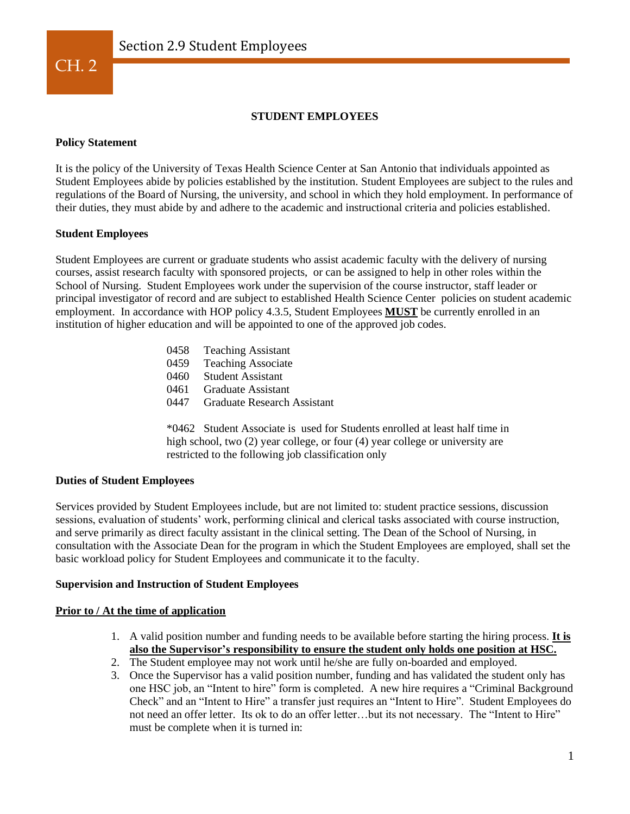

# **STUDENT EMPLOYEES**

## **Policy Statement**

It is the policy of the University of Texas Health Science Center at San Antonio that individuals appointed as Student Employees abide by policies established by the institution. Student Employees are subject to the rules and regulations of the Board of Nursing, the university, and school in which they hold employment. In performance of their duties, they must abide by and adhere to the academic and instructional criteria and policies established.

# **Student Employees**

Student Employees are current or graduate students who assist academic faculty with the delivery of nursing courses, assist research faculty with sponsored projects, or can be assigned to help in other roles within the School of Nursing. Student Employees work under the supervision of the course instructor, staff leader or principal investigator of record and are subject to established Health Science Center policies on student academic employment. In accordance with HOP policy 4.3.5, Student Employees **MUST** be currently enrolled in an institution of higher education and will be appointed to one of the approved job codes.

- 0458 Teaching Assistant
- 0459 Teaching Associate
- 0460 Student Assistant
- 0461 Graduate Assistant
- 0447 Graduate Research Assistant

\*0462 Student Associate is used for Students enrolled at least half time in high school, two (2) year college, or four (4) year college or university are restricted to the following job classification only

#### **Duties of Student Employees**

Services provided by Student Employees include, but are not limited to: student practice sessions, discussion sessions, evaluation of students' work, performing clinical and clerical tasks associated with course instruction, and serve primarily as direct faculty assistant in the clinical setting. The Dean of the School of Nursing, in consultation with the Associate Dean for the program in which the Student Employees are employed, shall set the basic workload policy for Student Employees and communicate it to the faculty.

#### **Supervision and Instruction of Student Employees**

## **Prior to / At the time of application**

- 1. A valid position number and funding needs to be available before starting the hiring process. **It is also the Supervisor's responsibility to ensure the student only holds one position at HSC.**
- 2. The Student employee may not work until he/she are fully on-boarded and employed.
- 3. Once the Supervisor has a valid position number, funding and has validated the student only has one HSC job, an "Intent to hire" form is completed. A new hire requires a "Criminal Background Check" and an "Intent to Hire" a transfer just requires an "Intent to Hire". Student Employees do not need an offer letter. Its ok to do an offer letter…but its not necessary. The "Intent to Hire" must be complete when it is turned in: